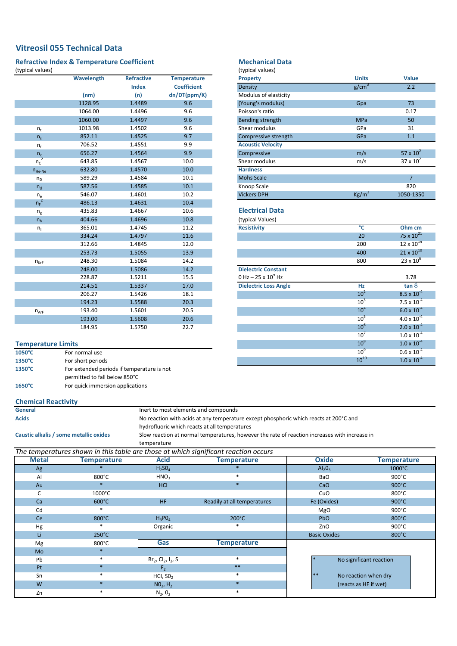# **Vitreosil 055 Technical Data**

### **Refractive Index & Temperature Coefficient** (typical values)

|                | Wavelength | <b>Refractive</b> | <b>Temperature</b> |
|----------------|------------|-------------------|--------------------|
|                |            | <b>Index</b>      | <b>Coefficient</b> |
|                | (nm)       | (n)               | dn/DT(ppm/K)       |
|                | 1128.95    | 1.4489            | 9.6                |
|                | 1064.00    | 1.4496            | 9.6                |
|                | 1060.00    | 1.4497            | 9.6                |
| $n_{t}$        | 1013.98    | 1.4502            | 9.6                |
| n <sub>s</sub> | 852.11     | 1.4525            | 9.7                |
| $n_r$          | 706.52     | 1.4551            | 9.9                |
| $n_c$          | 656.27     | 1.4564            | 9.9                |
| $n_c$          | 643.85     | 1.4567            | 10.0               |
| $n_{He-Ne}$    | 632.80     | 1.4570            | 10.0               |
| $n_{D}$        | 589.29     | 1.4584            | 10.1               |
| $n_{d}$        | 587.56     | 1.4585            | 10.1               |
| $n_e$          | 546.07     | 1.4601            | 10.2               |
| $n_F^2$        | 486.13     | 1.4631            | 10.4               |
| $n_{\rm g}$    | 435.83     | 1.4667            | 10.6               |
| n <sub>h</sub> | 404.66     | 1.4696            | 10.8               |
| $n_{\rm i}$    | 365.01     | 1.4745            | 11.2               |
|                | 334.24     | 1.4797            | 11.6               |
|                | 312.66     | 1.4845            | 12.0               |
|                | 253.73     | 1.5055            | 13.9               |
| $n_{KrF}$      | 248.30     | 1.5084            | 14.2               |
|                | 248.00     | 1.5086            | 14.2               |
|                | 228.87     | 1.5211            | 15.5               |
|                | 214.51     | 1.5337            | 17.0               |
|                | 206.27     | 1.5426            | 18.1               |
|                | 194.23     | 1.5588            | 20.3               |
| $n_{ArF}$      | 193.40     | 1.5601            | 20.5               |
|                | 193.00     | 1.5608            | 20.6               |
|                | 184.95     | 1.5750            | 22.7               |

## **Temperature Limits**

| $1050^{\circ}$ C | For normal use                             |
|------------------|--------------------------------------------|
| $1350^{\circ}$ C | For short periods                          |
| $1350^{\circ}$ C | For extended periods if temperature is not |
|                  | permitted to fall below 850°C              |
| $1650^{\circ}$ C | For quick immersion applications           |

## **Mechanical Data**

| (typical values) |  |  |  |
|------------------|--|--|--|
|------------------|--|--|--|

| <b>Property</b>          | <b>Units</b>      | <b>Value</b>       |
|--------------------------|-------------------|--------------------|
| Density                  | g/cm <sup>3</sup> | 2.2                |
| Modulus of elasticity    |                   |                    |
| (Young's modulus)        | Gpa               | 73                 |
| Poisson's ratio          |                   | 0.17               |
| Bending strength         | <b>MPa</b>        | 50                 |
| Shear modulus            | GPa               | 31                 |
| Compressive strength     | GPa               | 1.1                |
| <b>Acoustic Velocity</b> |                   |                    |
| Compressive              | m/s               | $57 \times 10^{2}$ |
| Shear modulus            | m/s               | $37 \times 10^{2}$ |
| <b>Hardness</b>          |                   |                    |
| <b>Mohs Scale</b>        |                   | $\overline{7}$     |
| Knoop Scale              |                   | 820                |
| <b>Vickers DPH</b>       | Kg/m <sup>2</sup> | 1050-1350          |

## **Electrical Data**

(typical Values)

| <b>Resistivity</b>           | °C              | Ohm cm               |
|------------------------------|-----------------|----------------------|
|                              | 20              | 75 x $10^{21}$       |
|                              | 200             | $12 \times 10^{14}$  |
|                              | 400             | $21 \times 10^{10}$  |
|                              | 800             | $23 \times 10^6$     |
| <b>Dielectric Constant</b>   |                 |                      |
| 0 Hz – 25 x $10^9$ Hz        |                 | 3.78                 |
| <b>Dielectric Loss Angle</b> | Hz              | tan 8                |
|                              | 10 <sup>2</sup> | $8.5 \times 10^{-4}$ |
|                              | 10 <sup>3</sup> | $7.5 \times 10^{-4}$ |
|                              | 10 <sup>4</sup> | $6.0 \times 10^{-4}$ |
|                              | $10^{5}$        | $4.0 \times 10^{-4}$ |
|                              | 10 <sup>6</sup> | $2.0 \times 10^{-4}$ |
|                              | $10^7$          | $1.0 \times 10^{-4}$ |
|                              | $10^8$          | $1.0 \times 10^{-4}$ |
|                              | 10 <sup>9</sup> | $0.6 \times 10^{-4}$ |
|                              | $10^{10}$       | $1.0 \times 10^{-4}$ |

### **Chemical Reactivity**

**General Acids**

Inert to most elements and compounds

No reaction with acids at any temperature except phosphoric which reacts at 200°C and hydrofluoric which reacts at all temperatures

**Caustic alkalis / some metallic oxides**

temperature Slow reaction at normal temperatures, however the rate of reaction increases with increase in

|              |                    |                                               | The temperatures shown in this table are those at which significant reaction occurs |                              |                         |
|--------------|--------------------|-----------------------------------------------|-------------------------------------------------------------------------------------|------------------------------|-------------------------|
| <b>Metal</b> | <b>Temperature</b> | <b>Acid</b>                                   | <b>Temperature</b>                                                                  | <b>Oxide</b>                 | <b>Temperature</b>      |
| Ag           |                    | H <sub>2</sub> SO <sub>4</sub>                |                                                                                     | $Al_2O_3$                    | 1000°C                  |
| Al           | $800^{\circ}$ C    | HNO <sub>3</sub>                              | $\star$                                                                             | <b>BaO</b>                   | $900^{\circ}$ C         |
| Au           |                    | HCI                                           | $\ast$                                                                              | CaO                          | $900^{\circ}$ C         |
| C            | 1000°C             |                                               |                                                                                     | CuO                          | 800°C                   |
| Ca           | $600^{\circ}$ C    | <b>HF</b>                                     | Readily at all temperatures                                                         | Fe (Oxides)                  | 900°C                   |
| Cd           |                    |                                               |                                                                                     | <b>MgO</b>                   | $900^{\circ}$ C         |
| Ce           | 800°C              | $H_3PO_4$                                     | $200^{\circ}$ C                                                                     | Pb <sub>O</sub>              | 800°C                   |
| Hg           | $\ast$             | Organic                                       | $\ast$                                                                              | ZnO                          | $900^{\circ}$ C         |
| Li           | $250^{\circ}$ C    |                                               |                                                                                     | <b>Basic Oxides</b>          | 800°C                   |
| Mg           | $800^{\circ}$ C    | Gas                                           | <b>Temperature</b>                                                                  |                              |                         |
| Mo           |                    |                                               |                                                                                     |                              |                         |
| Pb           | *                  | $Br_2$ , Cl <sub>2</sub> , I <sub>2</sub> , S | $\ast$                                                                              |                              | No significant reaction |
| Pt           | $\ast$             | F <sub>2</sub>                                | $**$                                                                                |                              |                         |
| Sn           | *                  | HCI, SO <sub>2</sub>                          | $\ast$                                                                              | $**$<br>No reaction when dry |                         |
| W            | $\ast$             | NO <sub>2</sub> , H <sub>2</sub>              | $\ast$                                                                              | (reacts as HF if wet)        |                         |
| Zn           | $\ast$             | $N_2, 0_2$                                    | $\ast$                                                                              |                              |                         |